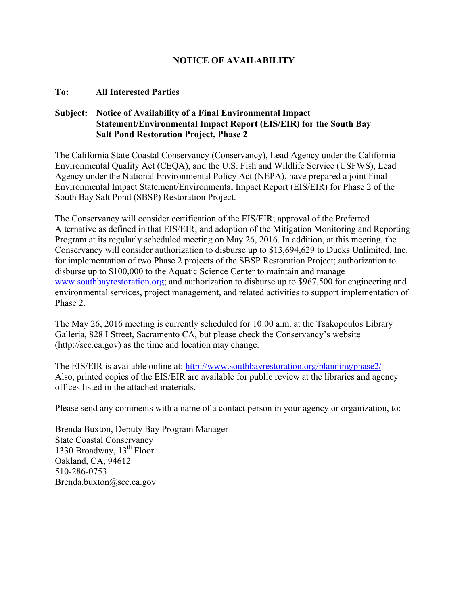### **NOTICE OF AVAILABILITY**

#### **To: All Interested Parties**

#### **Subject: Notice of Availability of a Final Environmental Impact Statement/Environmental Impact Report (EIS/EIR) for the South Bay Salt Pond Restoration Project, Phase 2**

The California State Coastal Conservancy (Conservancy), Lead Agency under the California Environmental Quality Act (CEQA), and the U.S. Fish and Wildlife Service (USFWS), Lead Agency under the National Environmental Policy Act (NEPA), have prepared a joint Final Environmental Impact Statement/Environmental Impact Report (EIS/EIR) for Phase 2 of the South Bay Salt Pond (SBSP) Restoration Project.

The Conservancy will consider certification of the EIS/EIR; approval of the Preferred Alternative as defined in that EIS/EIR; and adoption of the Mitigation Monitoring and Reporting Program at its regularly scheduled meeting on May 26, 2016. In addition, at this meeting, the Conservancy will consider authorization to disburse up to \$13,694,629 to Ducks Unlimited, Inc. for implementation of two Phase 2 projects of the SBSP Restoration Project; authorization to disburse up to \$100,000 to the Aquatic Science Center to maintain and manage [www.southbayrestoration.org;](http://www.southbayrestoration.org) and authorization to disburse up to \$967,500 for engineering and environmental services, project management, and related activities to support implementation of Phase 2.

The May 26, 2016 meeting is currently scheduled for 10:00 a.m. at the Tsakopoulos Library Galleria, 828 I Street, Sacramento CA, but please check the Conservancy's website (http://scc.ca.gov) as the time and location may change.

The EIS/EIR is available online at:<http://www.southbayrestoration.org/planning/phase2/> Also, printed copies of the EIS/EIR are available for public review at the libraries and agency offices listed in the attached materials.

Please send any comments with a name of a contact person in your agency or organization, to:

Brenda Buxton, Deputy Bay Program Manager State Coastal Conservancy 1330 Broadway,  $13<sup>th</sup>$  Floor Oakland, CA, 94612 510-286-0753 Brenda.buxton@scc.ca.gov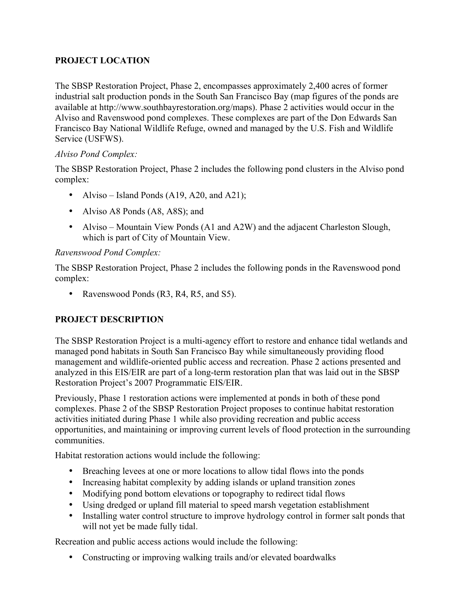# **PROJECT LOCATION**

The SBSP Restoration Project, Phase 2, encompasses approximately 2,400 acres of former industrial salt production ponds in the South San Francisco Bay (map figures of the ponds are available at http://www.southbayrestoration.org/maps). Phase 2 activities would occur in the Alviso and Ravenswood pond complexes. These complexes are part of the Don Edwards San Francisco Bay National Wildlife Refuge, owned and managed by the U.S. Fish and Wildlife Service (USFWS).

### *Alviso Pond Complex:*

The SBSP Restoration Project, Phase 2 includes the following pond clusters in the Alviso pond complex:

- Alviso Island Ponds  $(A19, A20, and A21)$ ;
- Alviso A8 Ponds (A8, A8S); and
- Alviso Mountain View Ponds (A1 and A2W) and the adjacent Charleston Slough, which is part of City of Mountain View.

### *Ravenswood Pond Complex:*

The SBSP Restoration Project, Phase 2 includes the following ponds in the Ravenswood pond complex:

• Ravenswood Ponds (R3, R4, R5, and S5).

# **PROJECT DESCRIPTION**

The SBSP Restoration Project is a multi-agency effort to restore and enhance tidal wetlands and managed pond habitats in South San Francisco Bay while simultaneously providing flood management and wildlife-oriented public access and recreation. Phase 2 actions presented and analyzed in this EIS/EIR are part of a long-term restoration plan that was laid out in the SBSP Restoration Project's 2007 Programmatic EIS/EIR.

Previously, Phase 1 restoration actions were implemented at ponds in both of these pond complexes. Phase 2 of the SBSP Restoration Project proposes to continue habitat restoration activities initiated during Phase 1 while also providing recreation and public access opportunities, and maintaining or improving current levels of flood protection in the surrounding communities.

Habitat restoration actions would include the following:

- Breaching levees at one or more locations to allow tidal flows into the ponds
- Increasing habitat complexity by adding islands or upland transition zones
- Modifying pond bottom elevations or topography to redirect tidal flows
- Using dredged or upland fill material to speed marsh vegetation establishment
- Installing water control structure to improve hydrology control in former salt ponds that will not yet be made fully tidal.

Recreation and public access actions would include the following:

• Constructing or improving walking trails and/or elevated boardwalks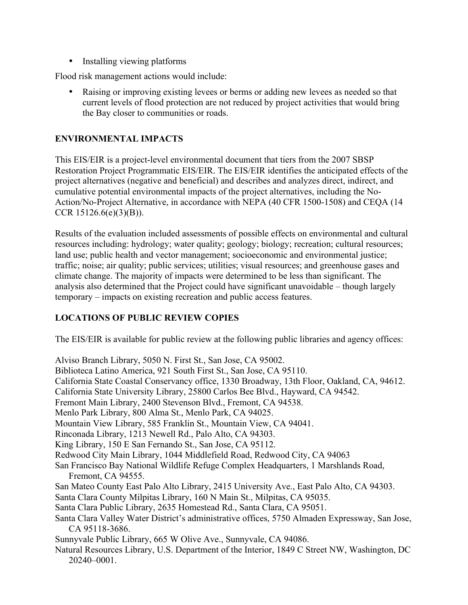• Installing viewing platforms

Flood risk management actions would include:

• Raising or improving existing levees or berms or adding new levees as needed so that current levels of flood protection are not reduced by project activities that would bring the Bay closer to communities or roads.

### **ENVIRONMENTAL IMPACTS**

This EIS/EIR is a project-level environmental document that tiers from the 2007 SBSP Restoration Project Programmatic EIS/EIR. The EIS/EIR identifies the anticipated effects of the project alternatives (negative and beneficial) and describes and analyzes direct, indirect, and cumulative potential environmental impacts of the project alternatives, including the No-Action/No-Project Alternative, in accordance with NEPA (40 CFR 1500-1508) and CEQA (14 CCR 15126.6(e)(3)(B)).

Results of the evaluation included assessments of possible effects on environmental and cultural resources including: hydrology; water quality; geology; biology; recreation; cultural resources; land use; public health and vector management; socioeconomic and environmental justice; traffic; noise; air quality; public services; utilities; visual resources; and greenhouse gases and climate change. The majority of impacts were determined to be less than significant. The analysis also determined that the Project could have significant unavoidable – though largely temporary – impacts on existing recreation and public access features.

# **LOCATIONS OF PUBLIC REVIEW COPIES**

The EIS/EIR is available for public review at the following public libraries and agency offices:

Alviso Branch Library, 5050 N. First St., San Jose, CA 95002. Biblioteca Latino America, 921 South First St., San Jose, CA 95110. California State Coastal Conservancy office, 1330 Broadway, 13th Floor, Oakland, CA, 94612. California State University Library, 25800 Carlos Bee Blvd., Hayward, CA 94542. Fremont Main Library, 2400 Stevenson Blvd., Fremont, CA 94538. Menlo Park Library, 800 Alma St., Menlo Park, CA 94025. Mountain View Library, 585 Franklin St., Mountain View, CA 94041. Rinconada Library, 1213 Newell Rd., Palo Alto, CA 94303. King Library, 150 E San Fernando St., San Jose, CA 95112. Redwood City Main Library, 1044 Middlefield Road, Redwood City, CA 94063 San Francisco Bay National Wildlife Refuge Complex Headquarters, 1 Marshlands Road, Fremont, CA 94555. San Mateo County East Palo Alto Library, 2415 University Ave., East Palo Alto, CA 94303. Santa Clara County Milpitas Library, 160 N Main St., Milpitas, CA 95035. Santa Clara Public Library, 2635 Homestead Rd., Santa Clara, CA 95051. Santa Clara Valley Water District's administrative offices, 5750 Almaden Expressway, San Jose, CA 95118-3686. Sunnyvale Public Library, 665 W Olive Ave., Sunnyvale, CA 94086. Natural Resources Library, U.S. Department of the Interior, 1849 C Street NW, Washington, DC 20240–0001.